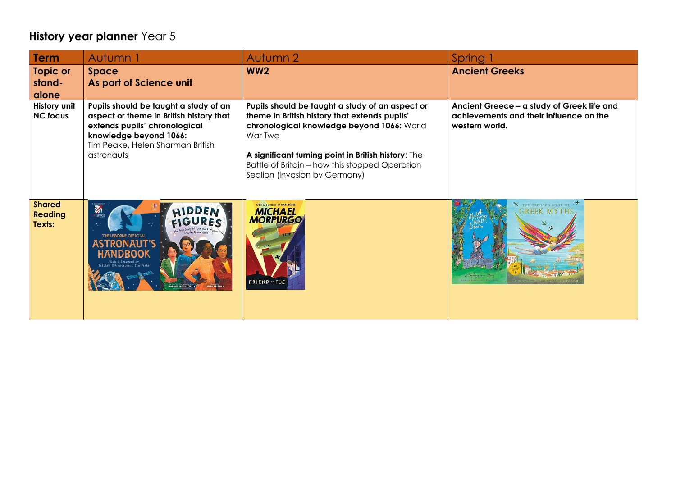## **History year planner** Year 5

| Term                                      | Autumn 1                                                                                                                                                                                      | Autumn 2                                                                                                                                                                                                                                                                                            | Spring                                                                                                  |
|-------------------------------------------|-----------------------------------------------------------------------------------------------------------------------------------------------------------------------------------------------|-----------------------------------------------------------------------------------------------------------------------------------------------------------------------------------------------------------------------------------------------------------------------------------------------------|---------------------------------------------------------------------------------------------------------|
| Topic or<br>stand-<br>alone               | Space<br>As part of Science unit                                                                                                                                                              | WW <sub>2</sub>                                                                                                                                                                                                                                                                                     | <b>Ancient Greeks</b>                                                                                   |
| History unit<br><b>NC focus</b>           | Pupils should be taught a study of an<br>aspect or theme in British history that<br>extends pupils' chronological<br>knowledge beyond 1066:<br>Tim Peake, Helen Sharman British<br>astronauts | Pupils should be taught a study of an aspect or<br>theme in British history that extends pupils'<br>chronological knowledge beyond 1066: World<br>War Two<br>A significant turning point in British history: The<br>Battle of Britain - how this stopped Operation<br>Sealion (invasion by Germany) | Ancient Greece - a study of Greek life and<br>achievements and their influence on the<br>western world. |
| <b>Shared</b><br><b>Reading</b><br>Texts: | $\mathbb{Z}$<br>HIDDEN                                                                                                                                                                        | From the author of WAR HORSE<br><b>MICHAEL</b><br><b>MORPURGO</b><br><b>FRIEND</b> ** FOE                                                                                                                                                                                                           | THE ORCHARD BOOK OF<br>GREEK MYTH!                                                                      |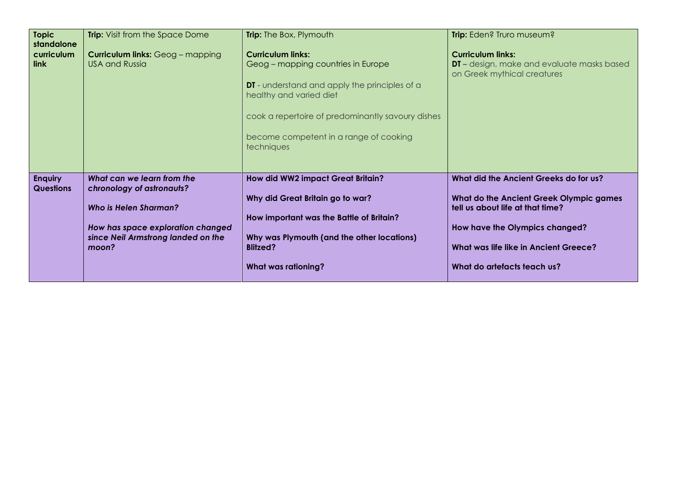| <b>Topic</b><br>standalone         | <b>Trip:</b> Visit from the Space Dome                                                                                                                                      | <b>Trip:</b> The Box, Plymouth                                                                                                                                                                                                                                 | Trip: Eden? Truro museum?                                                                                                                                                                                                              |
|------------------------------------|-----------------------------------------------------------------------------------------------------------------------------------------------------------------------------|----------------------------------------------------------------------------------------------------------------------------------------------------------------------------------------------------------------------------------------------------------------|----------------------------------------------------------------------------------------------------------------------------------------------------------------------------------------------------------------------------------------|
| curriculum<br><b>link</b>          | <b>Curriculum links:</b> Geog - mapping<br><b>USA and Russia</b>                                                                                                            | <b>Curriculum links:</b><br>Geog - mapping countries in Europe<br><b>DT</b> - understand and apply the principles of a<br>healthy and varied diet<br>cook a repertoire of predominantly savoury dishes<br>become competent in a range of cooking<br>techniques | <b>Curriculum links:</b><br>DT - design, make and evaluate masks based<br>on Greek mythical creatures                                                                                                                                  |
| <b>Enquiry</b><br><b>Questions</b> | What can we learn from the<br>chronology of astronauts?<br><b>Who is Helen Sharman?</b><br>How has space exploration changed<br>since Neil Armstrong landed on the<br>moon? | How did WW2 impact Great Britain?<br>Why did Great Britain go to war?<br>How important was the Battle of Britain?<br>Why was Plymouth (and the other locations)<br><b>Blitzed?</b><br><b>What was rationing?</b>                                               | What did the Ancient Greeks do for us?<br>What do the Ancient Greek Olympic games<br>tell us about life at that time?<br>How have the Olympics changed?<br><b>What was life like in Ancient Greece?</b><br>What do artefacts teach us? |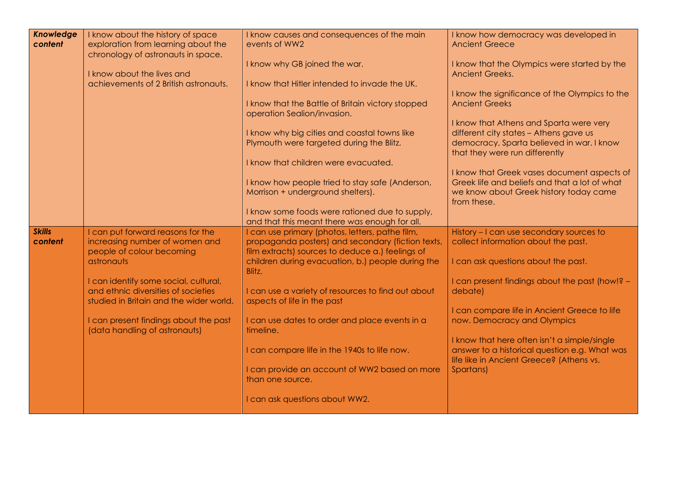| <b>Knowledge</b> | I know about the history of space       | I know causes and consequences of the main                                                      | I know how democracy was developed in                                                         |
|------------------|-----------------------------------------|-------------------------------------------------------------------------------------------------|-----------------------------------------------------------------------------------------------|
| content          | exploration from learning about the     | events of WW2                                                                                   | <b>Ancient Greece</b>                                                                         |
|                  | chronology of astronauts in space.      |                                                                                                 |                                                                                               |
|                  |                                         | I know why GB joined the war.                                                                   | I know that the Olympics were started by the                                                  |
|                  | I know about the lives and              |                                                                                                 | <b>Ancient Greeks.</b>                                                                        |
|                  | achievements of 2 British astronauts.   | I know that Hitler intended to invade the UK.                                                   |                                                                                               |
|                  |                                         | I know that the Battle of Britain victory stopped                                               | I know the significance of the Olympics to the<br><b>Ancient Greeks</b>                       |
|                  |                                         | operation Sealion/invasion.                                                                     |                                                                                               |
|                  |                                         |                                                                                                 | I know that Athens and Sparta were very                                                       |
|                  |                                         | I know why big cities and coastal towns like                                                    | different city states - Athens gave us                                                        |
|                  |                                         | Plymouth were targeted during the Blitz.                                                        | democracy, Sparta believed in war. I know                                                     |
|                  |                                         |                                                                                                 | that they were run differently                                                                |
|                  |                                         | I know that children were evacuated.                                                            |                                                                                               |
|                  |                                         |                                                                                                 | I know that Greek vases document aspects of                                                   |
|                  |                                         | I know how people tried to stay safe (Anderson,                                                 | Greek life and beliefs and that a lot of what                                                 |
|                  |                                         | Morrison + underground shelters).                                                               | we know about Greek history today came                                                        |
|                  |                                         |                                                                                                 | from these.                                                                                   |
|                  |                                         | I know some foods were rationed due to supply,<br>and that this meant there was enough for all. |                                                                                               |
| <b>Skills</b>    | I can put forward reasons for the       | I can use primary (photos, letters, pathe film,                                                 | History - I can use secondary sources to                                                      |
| content          | increasing number of women and          | propaganda posters) and secondary (fiction texts,                                               | collect information about the past.                                                           |
|                  | people of colour becoming               | film extracts) sources to deduce a.) feelings of                                                |                                                                                               |
|                  | astronauts                              | children during evacuation, b.) people during the                                               | I can ask questions about the past.                                                           |
|                  |                                         | Blitz.                                                                                          |                                                                                               |
|                  | I can identify some social, cultural,   |                                                                                                 | I can present findings about the past (how!? -                                                |
|                  | and ethnic diversities of societies     | I can use a variety of resources to find out about                                              | debate)                                                                                       |
|                  | studied in Britain and the wider world. | aspects of life in the past                                                                     |                                                                                               |
|                  |                                         |                                                                                                 | I can compare life in Ancient Greece to life                                                  |
|                  | I can present findings about the past   | I can use dates to order and place events in a                                                  | now. Democracy and Olympics                                                                   |
|                  | (data handling of astronauts)           | timeline.                                                                                       |                                                                                               |
|                  |                                         | I can compare life in the 1940s to life now.                                                    | I know that here often isn't a simple/single<br>answer to a historical question e.g. What was |
|                  |                                         |                                                                                                 | life like in Ancient Greece? (Athens vs.                                                      |
|                  |                                         | I can provide an account of WW2 based on more                                                   | Spartans)                                                                                     |
|                  |                                         | than one source.                                                                                |                                                                                               |
|                  |                                         |                                                                                                 |                                                                                               |
|                  |                                         | I can ask questions about WW2.                                                                  |                                                                                               |
|                  |                                         |                                                                                                 |                                                                                               |